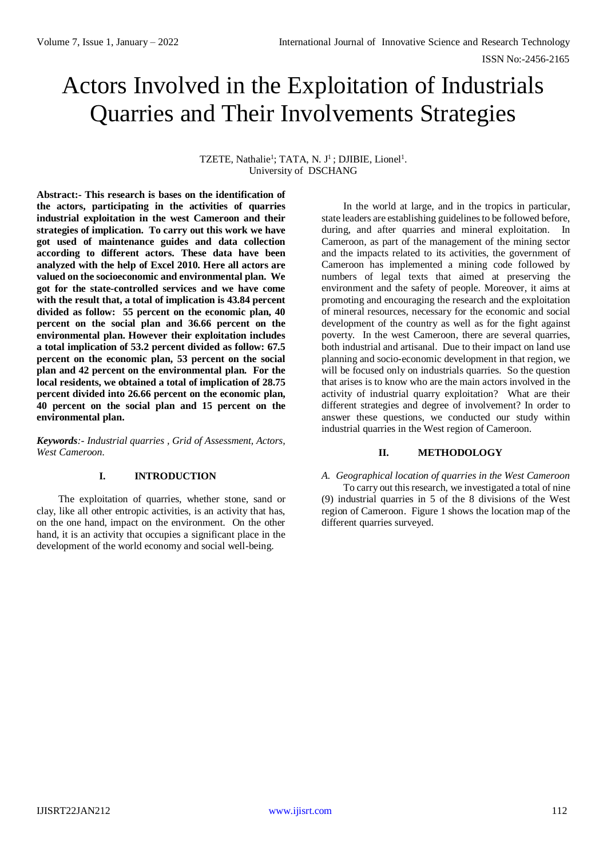# Actors Involved in the Exploitation of Industrials Quarries and Their Involvements Strategies

TZETE, Nathalie<sup>1</sup>; TATA, N. J<sup>1</sup>; DJIBIE, Lionel<sup>1</sup>. University of DSCHANG

**Abstract:- This research is bases on the identification of the actors, participating in the activities of quarries industrial exploitation in the west Cameroon and their strategies of implication. To carry out this work we have got used of maintenance guides and data collection according to different actors. These data have been analyzed with the help of Excel 2010. Here all actors are valued on the socioeconomic and environmental plan. We got for the state-controlled services and we have come with the result that, a total of implication is 43.84 percent divided as follow: 55 percent on the economic plan, 40 percent on the social plan and 36.66 percent on the environmental plan. However their exploitation includes a total implication of 53.2 percent divided as follow: 67.5 percent on the economic plan, 53 percent on the social plan and 42 percent on the environmental plan. For the local residents, we obtained a total of implication of 28.75 percent divided into 26.66 percent on the economic plan, 40 percent on the social plan and 15 percent on the environmental plan.**

*Keywords:- Industrial quarries , Grid of Assessment, Actors, West Cameroon.*

# **I. INTRODUCTION**

The exploitation of quarries, whether stone, sand or clay, like all other entropic activities, is an activity that has, on the one hand, impact on the environment. On the other hand, it is an activity that occupies a significant place in the development of the world economy and social well-being.

In the world at large, and in the tropics in particular, state leaders are establishing guidelines to be followed before, during, and after quarries and mineral exploitation. In Cameroon, as part of the management of the mining sector and the impacts related to its activities, the government of Cameroon has implemented a mining code followed by numbers of legal texts that aimed at preserving the environment and the safety of people. Moreover, it aims at promoting and encouraging the research and the exploitation of mineral resources, necessary for the economic and social development of the country as well as for the fight against poverty. In the west Cameroon, there are several quarries, both industrial and artisanal. Due to their impact on land use planning and socio-economic development in that region, we will be focused only on industrials quarries. So the question that arises is to know who are the main actors involved in the activity of industrial quarry exploitation? What are their different strategies and degree of involvement? In order to answer these questions, we conducted our study within industrial quarries in the West region of Cameroon.

# **II. METHODOLOGY**

*A. Geographical location of quarries in the West Cameroon* To carry out this research, we investigated a total of nine (9) industrial quarries in 5 of the 8 divisions of the West region of Cameroon. Figure 1 shows the location map of the different quarries surveyed.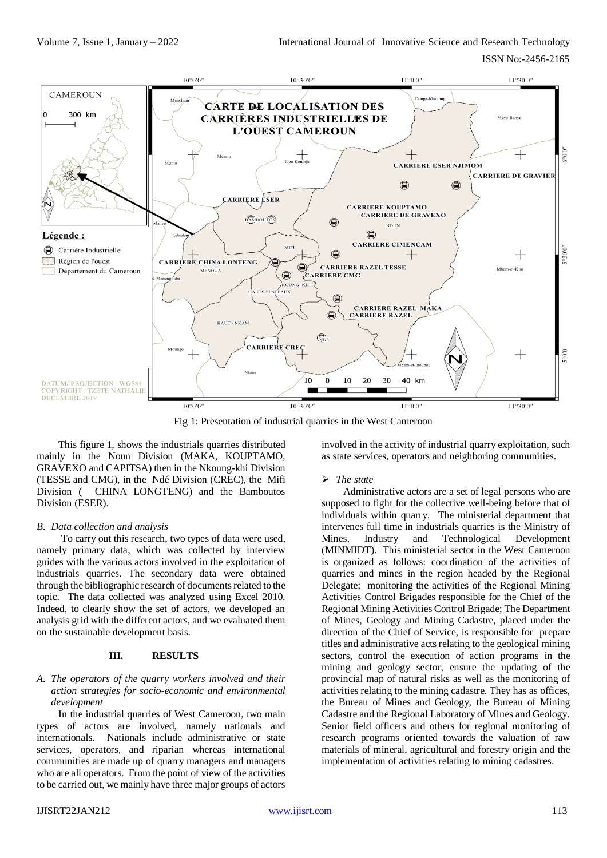

Fig 1: Presentation of industrial quarries in the West Cameroon

This figure 1, shows the industrials quarries distributed mainly in the Noun Division (MAKA, KOUPTAMO, GRAVEXO and CAPITSA) then in the Nkoung-khi Division (TESSE and CMG), in the Ndé Division (CREC), the Mifi Division ( CHINA LONGTENG) and the Bamboutos Division (ESER).

# *B. Data collection and analysis*

To carry out this research, two types of data were used, namely primary data, which was collected by interview guides with the various actors involved in the exploitation of industrials quarries. The secondary data were obtained through the bibliographic research of documents related to the topic. The data collected was analyzed using Excel 2010. Indeed, to clearly show the set of actors, we developed an analysis grid with the different actors, and we evaluated them on the sustainable development basis.

## **III. RESULTS**

# *A. The operators of the quarry workers involved and their action strategies for socio-economic and environmental development*

In the industrial quarries of West Cameroon, two main types of actors are involved, namely nationals and internationals. Nationals include administrative or state services, operators, and riparian whereas international communities are made up of quarry managers and managers who are all operators. From the point of view of the activities to be carried out, we mainly have three major groups of actors

involved in the activity of industrial quarry exploitation, such as state services, operators and neighboring communities.

# *The state*

Administrative actors are a set of legal persons who are supposed to fight for the collective well-being before that of individuals within quarry. The ministerial department that intervenes full time in industrials quarries is the Ministry of Mines, Industry and Technological Development (MINMIDT). This ministerial sector in the West Cameroon is organized as follows: coordination of the activities of quarries and mines in the region headed by the Regional Delegate; monitoring the activities of the Regional Mining Activities Control Brigades responsible for the Chief of the Regional Mining Activities Control Brigade; The Department of Mines, Geology and Mining Cadastre, placed under the direction of the Chief of Service, is responsible for prepare titles and administrative acts relating to the geological mining sectors, control the execution of action programs in the mining and geology sector, ensure the updating of the provincial map of natural risks as well as the monitoring of activities relating to the mining cadastre. They has as offices, the Bureau of Mines and Geology, the Bureau of Mining Cadastre and the Regional Laboratory of Mines and Geology. Senior field officers and others for regional monitoring of research programs oriented towards the valuation of raw materials of mineral, agricultural and forestry origin and the implementation of activities relating to mining cadastres.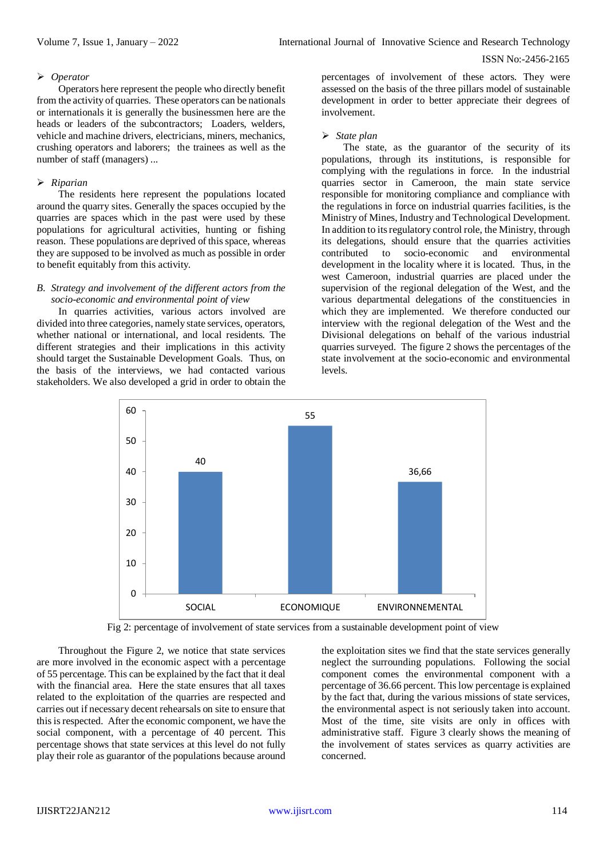#### ISSN No:-2456-2165

#### *Operator*

Operators here represent the people who directly benefit from the activity of quarries. These operators can be nationals or internationals it is generally the businessmen here are the heads or leaders of the subcontractors; Loaders, welders, vehicle and machine drivers, electricians, miners, mechanics, crushing operators and laborers; the trainees as well as the number of staff (managers) ...

#### *Riparian*

The residents here represent the populations located around the quarry sites. Generally the spaces occupied by the quarries are spaces which in the past were used by these populations for agricultural activities, hunting or fishing reason. These populations are deprived of this space, whereas they are supposed to be involved as much as possible in order to benefit equitably from this activity.

### *B. Strategy and involvement of the different actors from the socio-economic and environmental point of view*

In quarries activities, various actors involved are divided into three categories, namely state services, operators, whether national or international, and local residents. The different strategies and their implications in this activity should target the Sustainable Development Goals. Thus, on the basis of the interviews, we had contacted various stakeholders. We also developed a grid in order to obtain the

percentages of involvement of these actors. They were assessed on the basis of the three pillars model of sustainable development in order to better appreciate their degrees of involvement.

#### *State plan*

The state, as the guarantor of the security of its populations, through its institutions, is responsible for complying with the regulations in force. In the industrial quarries sector in Cameroon, the main state service responsible for monitoring compliance and compliance with the regulations in force on industrial quarries facilities, is the Ministry of Mines, Industry and Technological Development. In addition to its regulatory control role, the Ministry, through its delegations, should ensure that the quarries activities contributed to socio-economic and environmental development in the locality where it is located. Thus, in the west Cameroon, industrial quarries are placed under the supervision of the regional delegation of the West, and the various departmental delegations of the constituencies in which they are implemented. We therefore conducted our interview with the regional delegation of the West and the Divisional delegations on behalf of the various industrial quarries surveyed. The figure 2 shows the percentages of the state involvement at the socio-economic and environmental levels.



Fig 2: percentage of involvement of state services from a sustainable development point of view

Throughout the Figure 2, we notice that state services are more involved in the economic aspect with a percentage of 55 percentage. This can be explained by the fact that it deal with the financial area. Here the state ensures that all taxes related to the exploitation of the quarries are respected and carries out if necessary decent rehearsals on site to ensure that this is respected. After the economic component, we have the social component, with a percentage of 40 percent. This percentage shows that state services at this level do not fully play their role as guarantor of the populations because around

the exploitation sites we find that the state services generally neglect the surrounding populations. Following the social component comes the environmental component with a percentage of 36.66 percent. This low percentage is explained by the fact that, during the various missions of state services, the environmental aspect is not seriously taken into account. Most of the time, site visits are only in offices with administrative staff. Figure 3 clearly shows the meaning of the involvement of states services as quarry activities are concerned.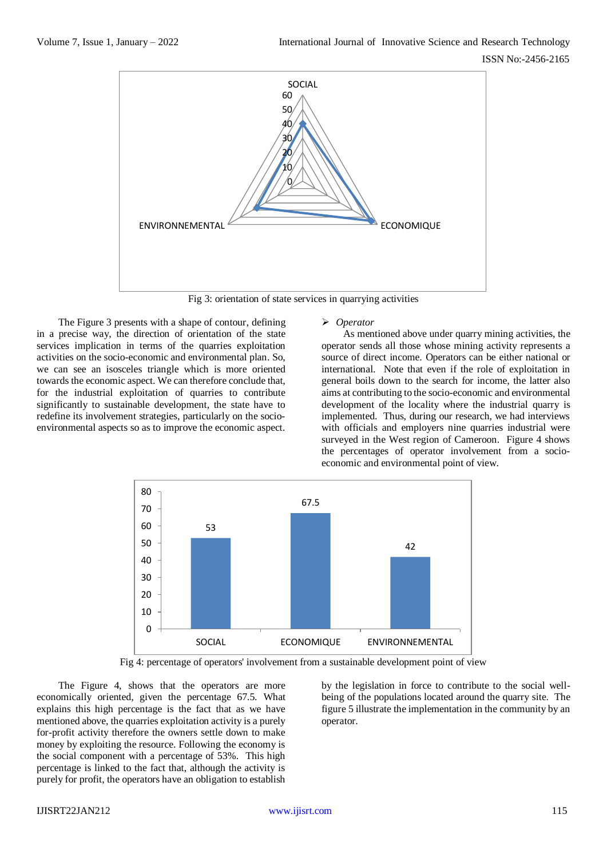

Fig 3: orientation of state services in quarrying activities

The Figure 3 presents with a shape of contour, defining in a precise way, the direction of orientation of the state services implication in terms of the quarries exploitation activities on the socio-economic and environmental plan. So, we can see an isosceles triangle which is more oriented towards the economic aspect. We can therefore conclude that, for the industrial exploitation of quarries to contribute significantly to sustainable development, the state have to redefine its involvement strategies, particularly on the socioenvironmental aspects so as to improve the economic aspect.

## *Operator*

As mentioned above under quarry mining activities, the operator sends all those whose mining activity represents a source of direct income. Operators can be either national or international. Note that even if the role of exploitation in general boils down to the search for income, the latter also aims at contributing to the socio-economic and environmental development of the locality where the industrial quarry is implemented. Thus, during our research, we had interviews with officials and employers nine quarries industrial were surveyed in the West region of Cameroon. Figure 4 shows the percentages of operator involvement from a socioeconomic and environmental point of view.



Fig 4: percentage of operators' involvement from a sustainable development point of view

The Figure 4, shows that the operators are more economically oriented, given the percentage 67.5. What explains this high percentage is the fact that as we have mentioned above, the quarries exploitation activity is a purely for-profit activity therefore the owners settle down to make money by exploiting the resource. Following the economy is the social component with a percentage of 53%. This high percentage is linked to the fact that, although the activity is purely for profit, the operators have an obligation to establish

by the legislation in force to contribute to the social wellbeing of the populations located around the quarry site. The figure 5 illustrate the implementation in the community by an operator.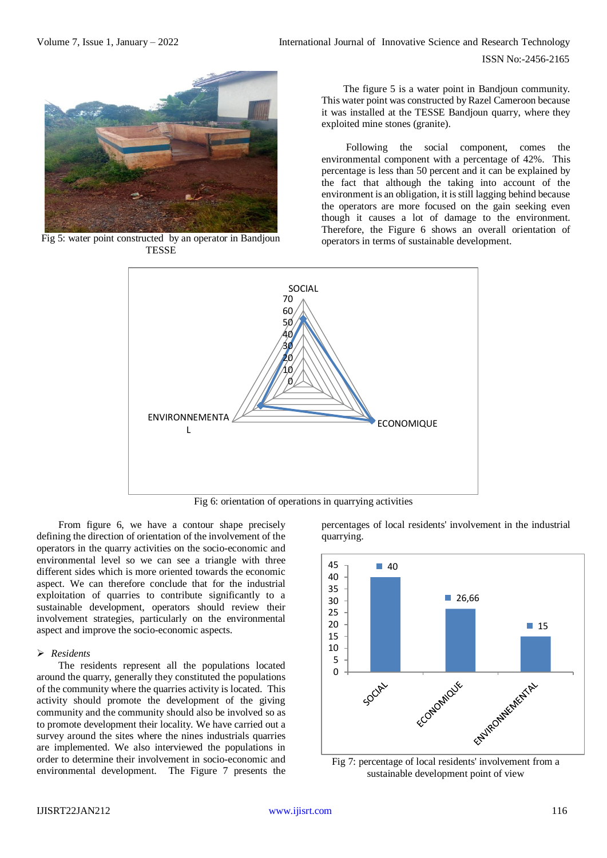

Fig 5: water point constructed by an operator in Bandjoun TESSE

The figure 5 is a water point in Bandjoun community. This water point was constructed by Razel Cameroon because it was installed at the TESSE Bandjoun quarry, where they exploited mine stones (granite).

Following the social component, comes the environmental component with a percentage of 42%. This percentage is less than 50 percent and it can be explained by the fact that although the taking into account of the environment is an obligation, it is still lagging behind because the operators are more focused on the gain seeking even though it causes a lot of damage to the environment. Therefore, the Figure 6 shows an overall orientation of operators in terms of sustainable development.



Fig 6: orientation of operations in quarrying activities

From figure 6, we have a contour shape precisely defining the direction of orientation of the involvement of the operators in the quarry activities on the socio-economic and environmental level so we can see a triangle with three different sides which is more oriented towards the economic aspect. We can therefore conclude that for the industrial exploitation of quarries to contribute significantly to a sustainable development, operators should review their involvement strategies, particularly on the environmental aspect and improve the socio-economic aspects.

#### *Residents*

The residents represent all the populations located around the quarry, generally they constituted the populations of the community where the quarries activity is located. This activity should promote the development of the giving community and the community should also be involved so as to promote development their locality. We have carried out a survey around the sites where the nines industrials quarries are implemented. We also interviewed the populations in order to determine their involvement in socio-economic and environmental development. The Figure 7 presents the percentages of local residents' involvement in the industrial quarrying.



Fig 7: percentage of local residents' involvement from a sustainable development point of view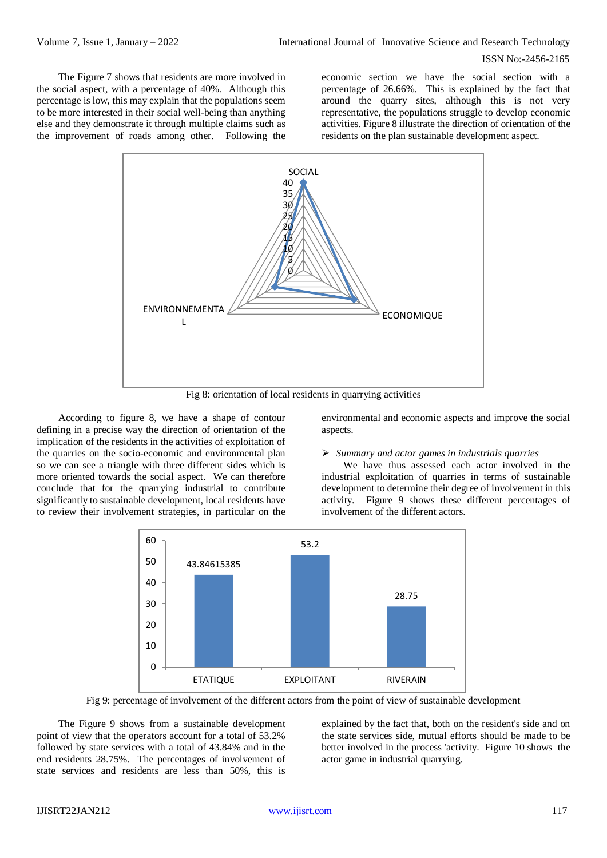#### ISSN No:-2456-2165

The Figure 7 shows that residents are more involved in the social aspect, with a percentage of 40%. Although this percentage is low, this may explain that the populations seem to be more interested in their social well-being than anything else and they demonstrate it through multiple claims such as the improvement of roads among other. Following the

economic section we have the social section with a percentage of 26.66%. This is explained by the fact that around the quarry sites, although this is not very representative, the populations struggle to develop economic activities. Figure 8 illustrate the direction of orientation of the residents on the plan sustainable development aspect.



Fig 8: orientation of local residents in quarrying activities

According to figure 8, we have a shape of contour defining in a precise way the direction of orientation of the implication of the residents in the activities of exploitation of the quarries on the socio-economic and environmental plan so we can see a triangle with three different sides which is more oriented towards the social aspect. We can therefore conclude that for the quarrying industrial to contribute significantly to sustainable development, local residents have to review their involvement strategies, in particular on the environmental and economic aspects and improve the social aspects.

#### *Summary and actor games in industrials quarries*

We have thus assessed each actor involved in the industrial exploitation of quarries in terms of sustainable development to determine their degree of involvement in this activity. Figure 9 shows these different percentages of involvement of the different actors.



Fig 9: percentage of involvement of the different actors from the point of view of sustainable development

The Figure 9 shows from a sustainable development point of view that the operators account for a total of 53.2% followed by state services with a total of 43.84% and in the end residents 28.75%. The percentages of involvement of state services and residents are less than 50%, this is

explained by the fact that, both on the resident's side and on the state services side, mutual efforts should be made to be better involved in the process 'activity. Figure 10 shows the actor game in industrial quarrying.